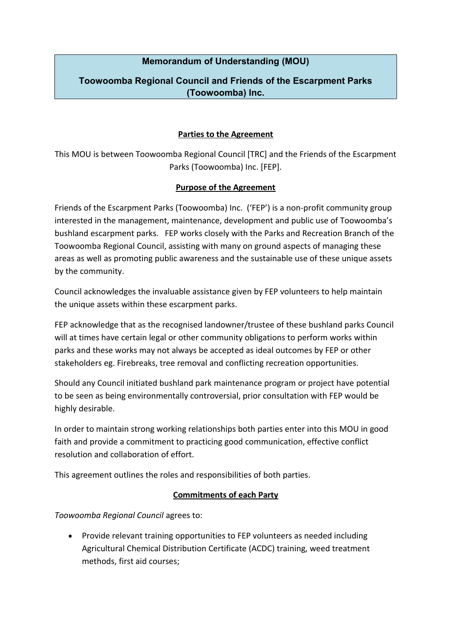# **Memorandum of Understanding (MOU)**

# **Toowoomba Regional Council and Friends of the Escarpment Parks (Toowoomba) Inc.**

### **Parties to the Agreement**

This MOU is between Toowoomba Regional Council [TRC] and the Friends of the Escarpment Parks (Toowoomba) Inc. [FEP].

#### **Purpose of the Agreement**

Friends of the Escarpment Parks (Toowoomba) Inc. ('FEP') is a non-profit community group interested in the management, maintenance, development and public use of Toowoomba's bushland escarpment parks. FEP works closely with the Parks and Recreation Branch of the Toowoomba Regional Council, assisting with many on ground aspects of managing these areas as well as promoting public awareness and the sustainable use of these unique assets by the community.

Council acknowledges the invaluable assistance given by FEP volunteers to help maintain the unique assets within these escarpment parks.

FEP acknowledge that as the recognised landowner/trustee of these bushland parks Council will at times have certain legal or other community obligations to perform works within parks and these works may not always be accepted as ideal outcomes by FEP or other stakeholders eg. Firebreaks, tree removal and conflicting recreation opportunities.

Should any Council initiated bushland park maintenance program or project have potential to be seen as being environmentally controversial, prior consultation with FEP would be highly desirable.

In order to maintain strong working relationships both parties enter into this MOU in good faith and provide a commitment to practicing good communication, effective conflict resolution and collaboration of effort.

This agreement outlines the roles and responsibilities of both parties.

## **Commitments of each Party**

*Toowoomba Regional Council* agrees to:

 Provide relevant training opportunities to FEP volunteers as needed including Agricultural Chemical Distribution Certificate (ACDC) training, weed treatment methods, first aid courses;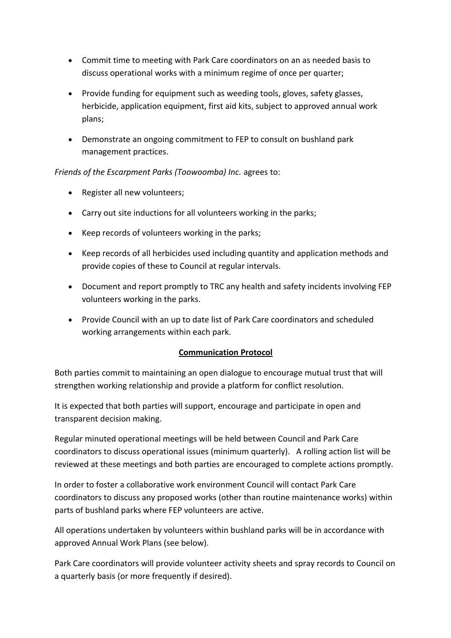- Commit time to meeting with Park Care coordinators on an as needed basis to discuss operational works with a minimum regime of once per quarter;
- Provide funding for equipment such as weeding tools, gloves, safety glasses, herbicide, application equipment, first aid kits, subject to approved annual work plans;
- Demonstrate an ongoing commitment to FEP to consult on bushland park management practices.

## *Friends of the Escarpment Parks (Toowoomba) Inc.* agrees to:

- Register all new volunteers;
- Carry out site inductions for all volunteers working in the parks;
- Keep records of volunteers working in the parks;
- Keep records of all herbicides used including quantity and application methods and provide copies of these to Council at regular intervals.
- Document and report promptly to TRC any health and safety incidents involving FEP volunteers working in the parks.
- Provide Council with an up to date list of Park Care coordinators and scheduled working arrangements within each park.

# **Communication Protocol**

Both parties commit to maintaining an open dialogue to encourage mutual trust that will strengthen working relationship and provide a platform for conflict resolution.

It is expected that both parties will support, encourage and participate in open and transparent decision making.

Regular minuted operational meetings will be held between Council and Park Care coordinators to discuss operational issues (minimum quarterly). A rolling action list will be reviewed at these meetings and both parties are encouraged to complete actions promptly.

In order to foster a collaborative work environment Council will contact Park Care coordinators to discuss any proposed works (other than routine maintenance works) within parts of bushland parks where FEP volunteers are active.

All operations undertaken by volunteers within bushland parks will be in accordance with approved Annual Work Plans (see below).

Park Care coordinators will provide volunteer activity sheets and spray records to Council on a quarterly basis (or more frequently if desired).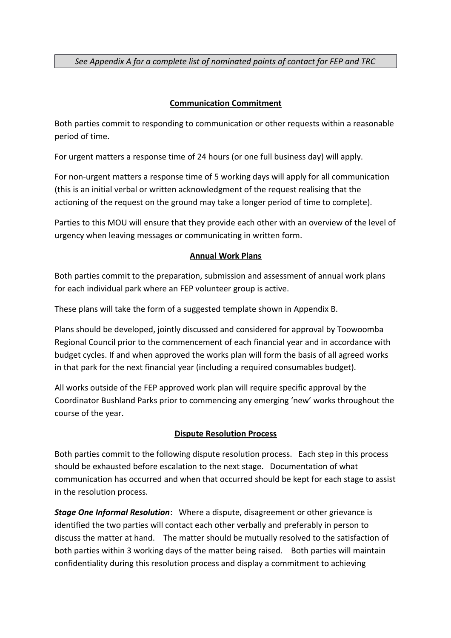*See Appendix A for a complete list of nominated points of contact for FEP and TRC*

## **Communication Commitment**

Both parties commit to responding to communication or other requests within a reasonable period of time.

For urgent matters a response time of 24 hours (or one full business day) will apply.

For non-urgent matters a response time of 5 working days will apply for all communication (this is an initial verbal or written acknowledgment of the request realising that the actioning of the request on the ground may take a longer period of time to complete).

Parties to this MOU will ensure that they provide each other with an overview of the level of urgency when leaving messages or communicating in written form.

## **Annual Work Plans**

Both parties commit to the preparation, submission and assessment of annual work plans for each individual park where an FEP volunteer group is active.

These plans will take the form of a suggested template shown in Appendix B.

Plans should be developed, jointly discussed and considered for approval by Toowoomba Regional Council prior to the commencement of each financial year and in accordance with budget cycles. If and when approved the works plan will form the basis of all agreed works in that park for the next financial year (including a required consumables budget).

All works outside of the FEP approved work plan will require specific approval by the Coordinator Bushland Parks prior to commencing any emerging 'new' works throughout the course of the year.

## **Dispute Resolution Process**

Both parties commit to the following dispute resolution process. Each step in this process should be exhausted before escalation to the next stage. Documentation of what communication has occurred and when that occurred should be kept for each stage to assist in the resolution process.

*Stage One Informal Resolution*: Where a dispute, disagreement or other grievance is identified the two parties will contact each other verbally and preferably in person to discuss the matter at hand. The matter should be mutually resolved to the satisfaction of both parties within 3 working days of the matter being raised. Both parties will maintain confidentiality during this resolution process and display a commitment to achieving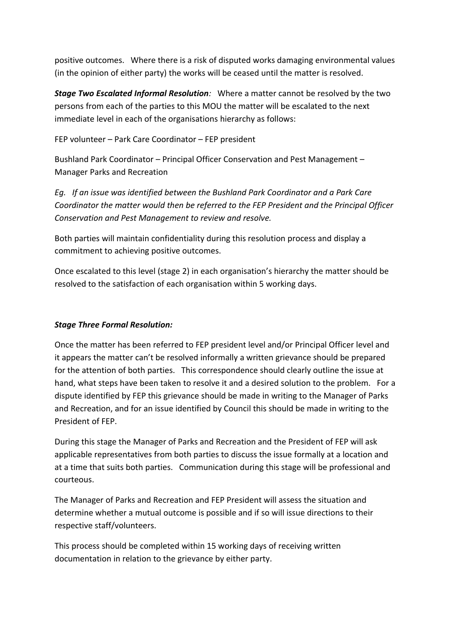positive outcomes. Where there is a risk of disputed works damaging environmental values (in the opinion of either party) the works will be ceased until the matter is resolved.

*Stage Two Escalated Informal Resolution:* Where a matter cannot be resolved by the two persons from each of the parties to this MOU the matter will be escalated to the next immediate level in each of the organisations hierarchy as follows:

FEP volunteer – Park Care Coordinator – FEP president

Bushland Park Coordinator – Principal Officer Conservation and Pest Management – Manager Parks and Recreation

*Eg. If an issue was identified between the Bushland Park Coordinator and a Park Care Coordinator the matter would then be referred to the FEP President and the Principal Officer Conservation and Pest Management to review and resolve.*

Both parties will maintain confidentiality during this resolution process and display a commitment to achieving positive outcomes.

Once escalated to this level (stage 2) in each organisation's hierarchy the matter should be resolved to the satisfaction of each organisation within 5 working days.

## *Stage Three Formal Resolution:*

Once the matter has been referred to FEP president level and/or Principal Officer level and it appears the matter can't be resolved informally a written grievance should be prepared for the attention of both parties. This correspondence should clearly outline the issue at hand, what steps have been taken to resolve it and a desired solution to the problem. For a dispute identified by FEP this grievance should be made in writing to the Manager of Parks and Recreation, and for an issue identified by Council this should be made in writing to the President of FEP.

During this stage the Manager of Parks and Recreation and the President of FEP will ask applicable representatives from both parties to discuss the issue formally at a location and at a time that suits both parties. Communication during this stage will be professional and courteous.

The Manager of Parks and Recreation and FEP President will assess the situation and determine whether a mutual outcome is possible and if so will issue directions to their respective staff/volunteers.

This process should be completed within 15 working days of receiving written documentation in relation to the grievance by either party.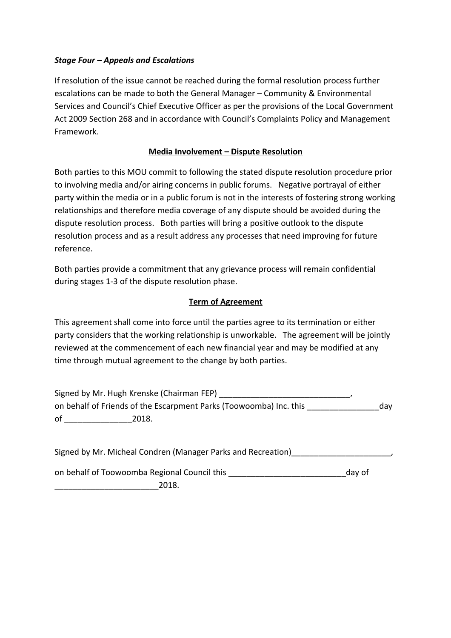## *Stage Four – Appeals and Escalations*

If resolution of the issue cannot be reached during the formal resolution process further escalations can be made to both the General Manager – Community & Environmental Services and Council's Chief Executive Officer as per the provisions of the Local Government Act 2009 Section 268 and in accordance with Council's Complaints Policy and Management Framework.

## **Media Involvement – Dispute Resolution**

Both parties to this MOU commit to following the stated dispute resolution procedure prior to involving media and/or airing concerns in public forums. Negative portrayal of either party within the media or in a public forum is not in the interests of fostering strong working relationships and therefore media coverage of any dispute should be avoided during the dispute resolution process. Both parties will bring a positive outlook to the dispute resolution process and as a result address any processes that need improving for future reference.

Both parties provide a commitment that any grievance process will remain confidential during stages 1-3 of the dispute resolution phase.

## **Term of Agreement**

This agreement shall come into force until the parties agree to its termination or either party considers that the working relationship is unworkable. The agreement will be jointly reviewed at the commencement of each new financial year and may be modified at any time through mutual agreement to the change by both parties.

Signed by Mr. Hugh Krenske (Chairman FEP) \_\_\_\_\_\_\_\_\_\_\_\_\_\_\_\_\_\_\_\_\_\_\_\_\_\_\_\_\_, on behalf of Friends of the Escarpment Parks (Toowoomba) Inc. this \_\_\_\_\_\_\_\_\_\_\_\_\_\_\_\_day of \_\_\_\_\_\_\_\_\_\_\_\_\_\_\_2018.

Signed by Mr. Micheal Condren (Manager Parks and Recreation)\_\_\_\_\_\_\_\_\_\_\_\_\_\_\_\_\_\_\_\_\_\_,

on behalf of Toowoomba Regional Council this example the state of the day of

\_\_\_\_\_\_\_\_\_\_\_\_\_\_\_\_\_\_\_\_\_\_\_2018.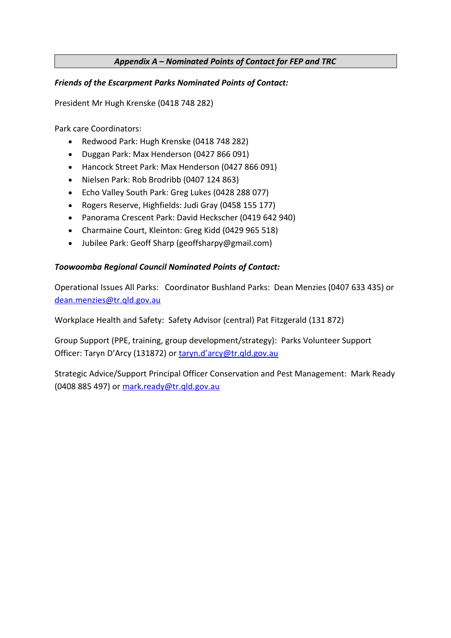## *Appendix A – Nominated Points of Contact for FEP and TRC*

### *Friends of the Escarpment Parks Nominated Points of Contact:*

President Mr Hugh Krenske (0418 748 282)

Park care Coordinators:

- Redwood Park: Hugh Krenske (0418 748 282)
- Duggan Park: Max Henderson (0427 866 091)
- Hancock Street Park: Max Henderson (0427 866 091)
- Nielsen Park: Rob Brodribb (0407 124 863)
- Echo Valley South Park: Greg Lukes (0428 288 077)
- Rogers Reserve, Highfields: Judi Gray (0458 155 177)
- Panorama Crescent Park: David Heckscher (0419 642 940)
- Charmaine Court, Kleinton: Greg Kidd (0429 965 518)
- Jubilee Park: Geoff Sharp (geoffsharpy@gmail.com)

#### *Toowoomba Regional Council Nominated Points of Contact:*

Operational Issues All Parks: Coordinator Bushland Parks: Dean Menzies (0407 633 435) or [dean.menzies@tr.qld.gov.au](mailto:dean.menzies@tr.qld.gov.au)

Workplace Health and Safety: Safety Advisor (central) Pat Fitzgerald (131 872)

Group Support (PPE, training, group development/strategy): Parks Volunteer Support Officer: Taryn D'Arcy (131872) or [taryn.d'arcy@tr.qld.gov.au](mailto:taryn.darcy@tr.qld.gov.au)

Strategic Advice/Support Principal Officer Conservation and Pest Management: Mark Ready (0408 885 497) or [mark.ready@tr.qld.gov.au](mailto:mark.ready@tr.qld.gov.au)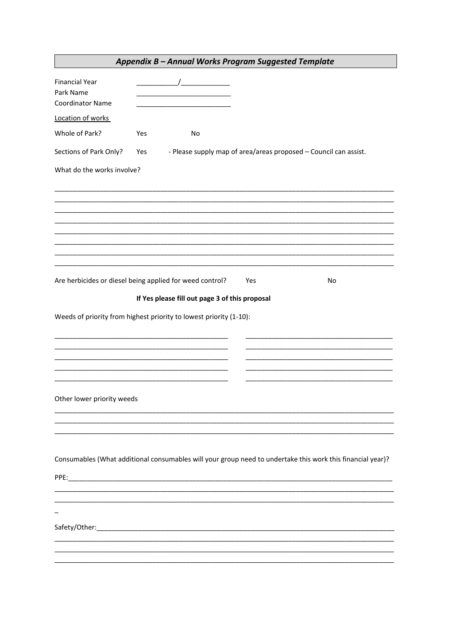|                                                               |     | Appendix B - Annual Works Program Suggested Template               |     |                                                                                                            |
|---------------------------------------------------------------|-----|--------------------------------------------------------------------|-----|------------------------------------------------------------------------------------------------------------|
| <b>Financial Year</b><br>Park Name<br><b>Coordinator Name</b> |     | $\overline{a}$                                                     |     |                                                                                                            |
| Location of works                                             |     |                                                                    |     |                                                                                                            |
| Whole of Park?                                                | Yes | No                                                                 |     |                                                                                                            |
| Sections of Park Only?                                        | Yes |                                                                    |     | - Please supply map of area/areas proposed - Council can assist.                                           |
| What do the works involve?                                    |     |                                                                    |     |                                                                                                            |
|                                                               |     |                                                                    |     |                                                                                                            |
|                                                               |     |                                                                    |     |                                                                                                            |
|                                                               |     |                                                                    |     |                                                                                                            |
|                                                               |     |                                                                    |     |                                                                                                            |
|                                                               |     |                                                                    |     |                                                                                                            |
|                                                               |     |                                                                    |     |                                                                                                            |
| Are herbicides or diesel being applied for weed control?      |     |                                                                    | Yes | No                                                                                                         |
|                                                               |     | If Yes please fill out page 3 of this proposal                     |     |                                                                                                            |
|                                                               |     | Weeds of priority from highest priority to lowest priority (1-10): |     |                                                                                                            |
|                                                               |     |                                                                    |     |                                                                                                            |
|                                                               |     |                                                                    |     |                                                                                                            |
|                                                               |     |                                                                    |     |                                                                                                            |
|                                                               |     |                                                                    |     |                                                                                                            |
| Other lower priority weeds                                    |     |                                                                    |     |                                                                                                            |
|                                                               |     |                                                                    |     |                                                                                                            |
|                                                               |     |                                                                    |     |                                                                                                            |
|                                                               |     |                                                                    |     |                                                                                                            |
|                                                               |     |                                                                    |     | Consumables (What additional consumables will your group need to undertake this work this financial year)? |
|                                                               |     |                                                                    |     |                                                                                                            |
|                                                               |     |                                                                    |     |                                                                                                            |
|                                                               |     |                                                                    |     |                                                                                                            |
|                                                               |     |                                                                    |     |                                                                                                            |
|                                                               |     |                                                                    |     |                                                                                                            |
|                                                               |     |                                                                    |     |                                                                                                            |
|                                                               |     |                                                                    |     |                                                                                                            |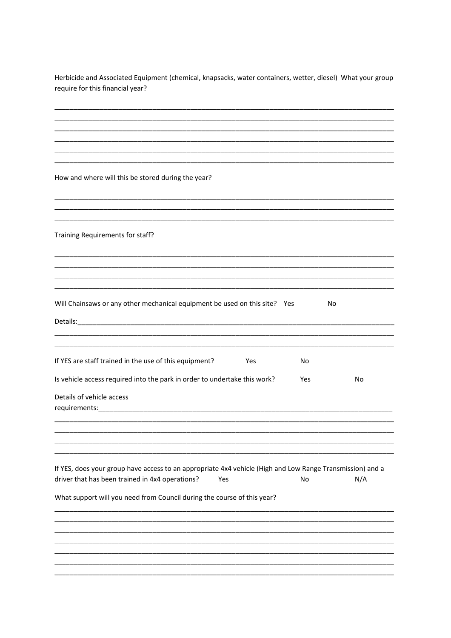Herbicide and Associated Equipment (chemical, knapsacks, water containers, wetter, diesel) What your group require for this financial year?

How and where will this be stored during the year?

Training Requirements for staff?

| Will Chainsaws or any other mechanical equipment be used on this site? Yes |  | No |
|----------------------------------------------------------------------------|--|----|
|----------------------------------------------------------------------------|--|----|

| Details:                                                                  |     |     |    |  |  |  |
|---------------------------------------------------------------------------|-----|-----|----|--|--|--|
| If YES are staff trained in the use of this equipment?                    | Yes | No. |    |  |  |  |
| Is vehicle access required into the park in order to undertake this work? |     | Yes | No |  |  |  |

Details of vehicle access requirements:\_\_\_\_\_\_\_\_\_\_\_\_\_

| If YES, does your group have access to an appropriate 4x4 vehicle (High and Low Range Transmission) and a |     |    |     |
|-----------------------------------------------------------------------------------------------------------|-----|----|-----|
| driver that has been trained in 4x4 operations?                                                           | Yes | Nο | N/A |

What support will you need from Council during the course of this year?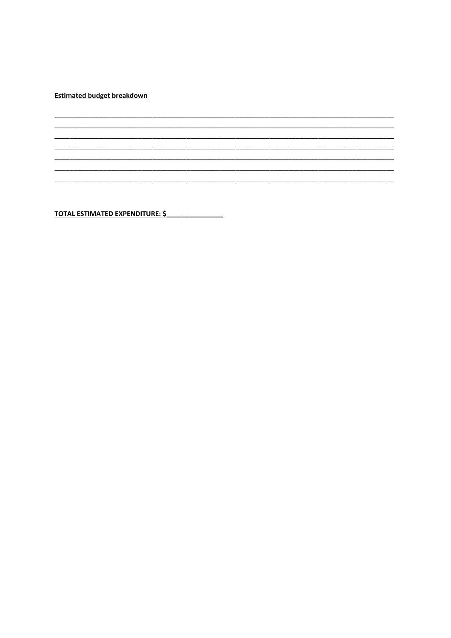**Estimated budget breakdown** 

TOTAL ESTIMATED EXPENDITURE: \$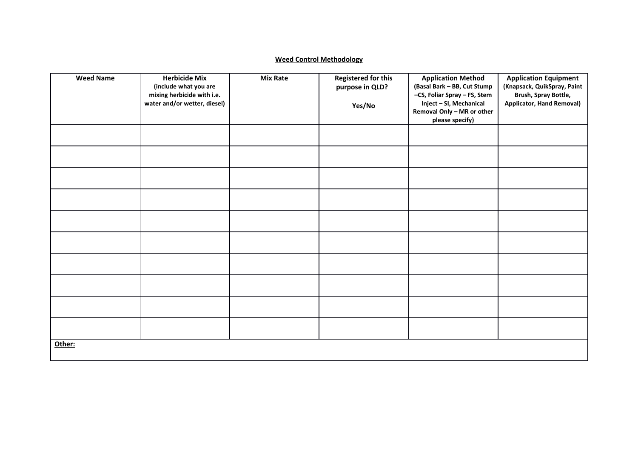#### **Weed Control Methodology**

| <b>Weed Name</b> | <b>Herbicide Mix</b><br>(include what you are<br>mixing herbicide with i.e.<br>water and/or wetter, diesel) | <b>Mix Rate</b> | <b>Registered for this</b><br>purpose in QLD?<br>Yes/No | <b>Application Method</b><br>(Basal Bark - BB, Cut Stump<br>-CS, Foliar Spray - FS, Stem<br>Inject - SI, Mechanical<br>Removal Only - MR or other<br>please specify) | <b>Application Equipment</b><br>(Knapsack, QuikSpray, Paint<br>Brush, Spray Bottle,<br><b>Applicator, Hand Removal)</b> |
|------------------|-------------------------------------------------------------------------------------------------------------|-----------------|---------------------------------------------------------|----------------------------------------------------------------------------------------------------------------------------------------------------------------------|-------------------------------------------------------------------------------------------------------------------------|
|                  |                                                                                                             |                 |                                                         |                                                                                                                                                                      |                                                                                                                         |
|                  |                                                                                                             |                 |                                                         |                                                                                                                                                                      |                                                                                                                         |
|                  |                                                                                                             |                 |                                                         |                                                                                                                                                                      |                                                                                                                         |
|                  |                                                                                                             |                 |                                                         |                                                                                                                                                                      |                                                                                                                         |
|                  |                                                                                                             |                 |                                                         |                                                                                                                                                                      |                                                                                                                         |
|                  |                                                                                                             |                 |                                                         |                                                                                                                                                                      |                                                                                                                         |
|                  |                                                                                                             |                 |                                                         |                                                                                                                                                                      |                                                                                                                         |
|                  |                                                                                                             |                 |                                                         |                                                                                                                                                                      |                                                                                                                         |
|                  |                                                                                                             |                 |                                                         |                                                                                                                                                                      |                                                                                                                         |
|                  |                                                                                                             |                 |                                                         |                                                                                                                                                                      |                                                                                                                         |
| Other:           |                                                                                                             |                 |                                                         |                                                                                                                                                                      |                                                                                                                         |